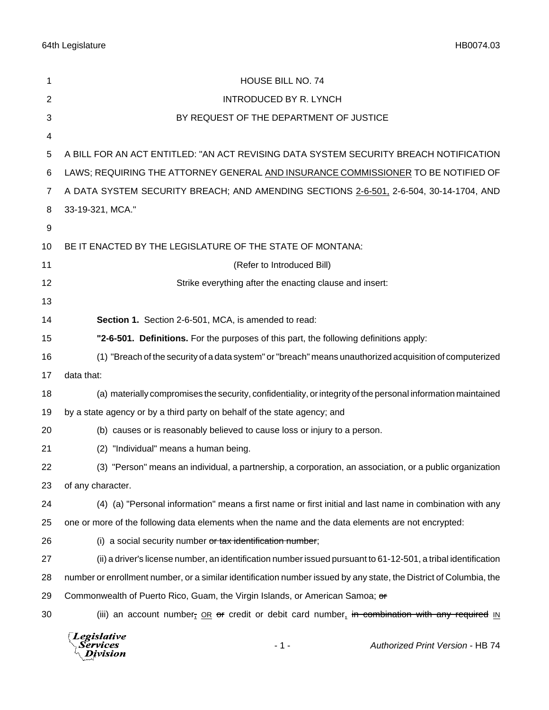| 1              | HOUSE BILL NO. 74                                                                                                  |
|----------------|--------------------------------------------------------------------------------------------------------------------|
| $\overline{2}$ | <b>INTRODUCED BY R. LYNCH</b>                                                                                      |
| 3              | BY REQUEST OF THE DEPARTMENT OF JUSTICE                                                                            |
| 4              |                                                                                                                    |
| 5              | A BILL FOR AN ACT ENTITLED: "AN ACT REVISING DATA SYSTEM SECURITY BREACH NOTIFICATION                              |
| 6              | LAWS; REQUIRING THE ATTORNEY GENERAL AND INSURANCE COMMISSIONER TO BE NOTIFIED OF                                  |
| 7              | A DATA SYSTEM SECURITY BREACH; AND AMENDING SECTIONS 2-6-501, 2-6-504, 30-14-1704, AND                             |
| 8              | 33-19-321, MCA."                                                                                                   |
| 9              |                                                                                                                    |
| 10             | BE IT ENACTED BY THE LEGISLATURE OF THE STATE OF MONTANA:                                                          |
| 11             | (Refer to Introduced Bill)                                                                                         |
| 12             | Strike everything after the enacting clause and insert:                                                            |
| 13             |                                                                                                                    |
| 14             | Section 1. Section 2-6-501, MCA, is amended to read:                                                               |
| 15             | "2-6-501. Definitions. For the purposes of this part, the following definitions apply:                             |
| 16             | (1) "Breach of the security of a data system" or "breach" means unauthorized acquisition of computerized           |
| 17             | data that:                                                                                                         |
| 18             | (a) materially compromises the security, confidentiality, or integrity of the personal information maintained      |
| 19             | by a state agency or by a third party on behalf of the state agency; and                                           |
| 20             | (b) causes or is reasonably believed to cause loss or injury to a person.                                          |
| 21             | (2) "Individual" means a human being.                                                                              |
| 22             | (3) "Person" means an individual, a partnership, a corporation, an association, or a public organization           |
| 23             | of any character.                                                                                                  |
| 24             | (4) (a) "Personal information" means a first name or first initial and last name in combination with any           |
| 25             | one or more of the following data elements when the name and the data elements are not encrypted:                  |
| 26             | (i) a social security number or tax identification number;                                                         |
| 27             | (ii) a driver's license number, an identification number issued pursuant to 61-12-501, a tribal identification     |
| 28             | number or enrollment number, or a similar identification number issued by any state, the District of Columbia, the |
| 29             | Commonwealth of Puerto Rico, Guam, the Virgin Islands, or American Samoa; or                                       |
| 30             | (iii) an account number, OR or credit or debit card number, in combination with any required IN                    |
|                |                                                                                                                    |

 $\left\{\begin{matrix} \textit{Legislative} \\ \textit{Services} \\ \textit{Division} \end{matrix}\right.$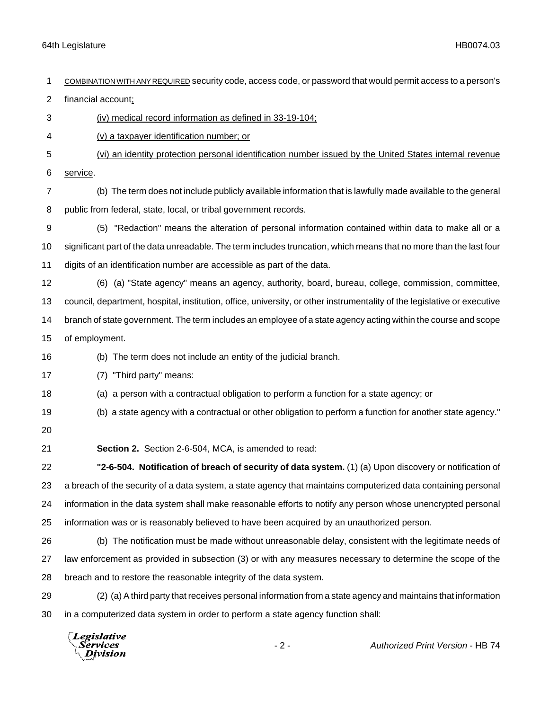|                | Legislative<br>$-2-$<br>Authorized Print Version - HB 74<br>Services<br>Division                                         |
|----------------|--------------------------------------------------------------------------------------------------------------------------|
| 30             | in a computerized data system in order to perform a state agency function shall:                                         |
| 29             | (2) (a) A third party that receives personal information from a state agency and maintains that information              |
| 28             | breach and to restore the reasonable integrity of the data system.                                                       |
| 27             | law enforcement as provided in subsection (3) or with any measures necessary to determine the scope of the               |
| 26             | (b) The notification must be made without unreasonable delay, consistent with the legitimate needs of                    |
| 25             | information was or is reasonably believed to have been acquired by an unauthorized person.                               |
| 24             | information in the data system shall make reasonable efforts to notify any person whose unencrypted personal             |
| 23             | a breach of the security of a data system, a state agency that maintains computerized data containing personal           |
| 22             | "2-6-504. Notification of breach of security of data system. (1) (a) Upon discovery or notification of                   |
| 21             | Section 2. Section 2-6-504, MCA, is amended to read:                                                                     |
| 20             |                                                                                                                          |
| 19             | (b) a state agency with a contractual or other obligation to perform a function for another state agency."               |
| 18             | (a) a person with a contractual obligation to perform a function for a state agency; or                                  |
| 17             | (7) "Third party" means:                                                                                                 |
| 16             | (b) The term does not include an entity of the judicial branch.                                                          |
| 15             | of employment.                                                                                                           |
| 14             | branch of state government. The term includes an employee of a state agency acting within the course and scope           |
| 13             | council, department, hospital, institution, office, university, or other instrumentality of the legislative or executive |
| 12             | (6) (a) "State agency" means an agency, authority, board, bureau, college, commission, committee,                        |
| 11             | digits of an identification number are accessible as part of the data.                                                   |
| 10             | significant part of the data unreadable. The term includes truncation, which means that no more than the last four       |
| 9              | (5) "Redaction" means the alteration of personal information contained within data to make all or a                      |
| 8              | public from federal, state, local, or tribal government records.                                                         |
| 7              | service.<br>(b) The term does not include publicly available information that is lawfully made available to the general  |
| 5<br>6         | (vi) an identity protection personal identification number issued by the United States internal revenue                  |
| 4              | (v) a taxpayer identification number; or                                                                                 |
| 3              | (iv) medical record information as defined in 33-19-104;                                                                 |
| $\overline{c}$ | financial account;                                                                                                       |
| 1              | COMBINATION WITH ANY REQUIRED Security code, access code, or password that would permit access to a person's             |
|                |                                                                                                                          |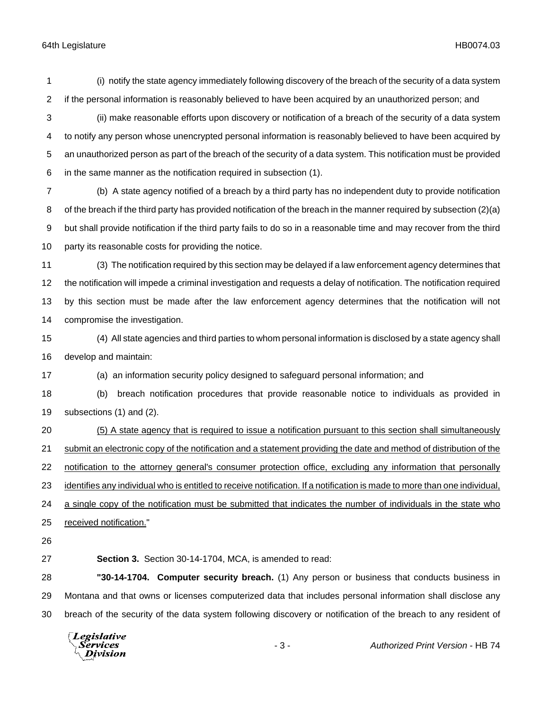(i) notify the state agency immediately following discovery of the breach of the security of a data system if the personal information is reasonably believed to have been acquired by an unauthorized person; and

 (ii) make reasonable efforts upon discovery or notification of a breach of the security of a data system to notify any person whose unencrypted personal information is reasonably believed to have been acquired by an unauthorized person as part of the breach of the security of a data system. This notification must be provided in the same manner as the notification required in subsection (1).

 (b) A state agency notified of a breach by a third party has no independent duty to provide notification of the breach if the third party has provided notification of the breach in the manner required by subsection (2)(a) but shall provide notification if the third party fails to do so in a reasonable time and may recover from the third party its reasonable costs for providing the notice.

 (3) The notification required by this section may be delayed if a law enforcement agency determines that the notification will impede a criminal investigation and requests a delay of notification. The notification required by this section must be made after the law enforcement agency determines that the notification will not compromise the investigation.

 (4) All state agencies and third parties to whom personal information is disclosed by a state agency shall develop and maintain:

(a) an information security policy designed to safeguard personal information; and

 (b) breach notification procedures that provide reasonable notice to individuals as provided in subsections (1) and (2).

 (5) A state agency that is required to issue a notification pursuant to this section shall simultaneously 21 submit an electronic copy of the notification and a statement providing the date and method of distribution of the 22 notification to the attorney general's consumer protection office, excluding any information that personally identifies any individual who is entitled to receive notification. If a notification is made to more than one individual, a single copy of the notification must be submitted that indicates the number of individuals in the state who received notification." 

**Section 3.** Section 30-14-1704, MCA, is amended to read:

 **"30-14-1704. Computer security breach.** (1) Any person or business that conducts business in Montana and that owns or licenses computerized data that includes personal information shall disclose any breach of the security of the data system following discovery or notification of the breach to any resident of

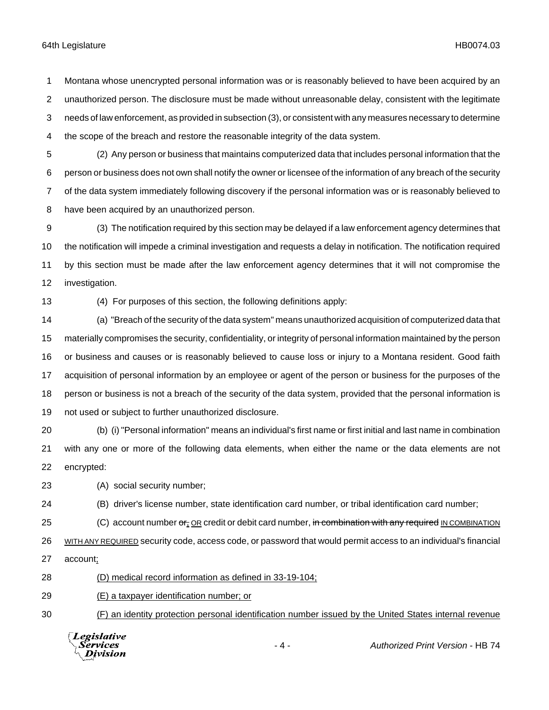Montana whose unencrypted personal information was or is reasonably believed to have been acquired by an unauthorized person. The disclosure must be made without unreasonable delay, consistent with the legitimate needs of law enforcement, as provided in subsection (3), or consistent with any measures necessary to determine the scope of the breach and restore the reasonable integrity of the data system.

- (2) Any person or business that maintains computerized data that includes personal information that the person or business does not own shall notify the owner or licensee of the information of any breach of the security of the data system immediately following discovery if the personal information was or is reasonably believed to have been acquired by an unauthorized person.
- (3) The notification required by this section may be delayed if a law enforcement agency determines that the notification will impede a criminal investigation and requests a delay in notification. The notification required by this section must be made after the law enforcement agency determines that it will not compromise the investigation.

(4) For purposes of this section, the following definitions apply:

 (a) "Breach of the security of the data system" means unauthorized acquisition of computerized data that materially compromises the security, confidentiality, or integrity of personal information maintained by the person or business and causes or is reasonably believed to cause loss or injury to a Montana resident. Good faith acquisition of personal information by an employee or agent of the person or business for the purposes of the person or business is not a breach of the security of the data system, provided that the personal information is not used or subject to further unauthorized disclosure.

- (b) (i) "Personal information" means an individual's first name or first initial and last name in combination with any one or more of the following data elements, when either the name or the data elements are not encrypted:
- (A) social security number;
- (B) driver's license number, state identification card number, or tribal identification card number;
- 25 (C) account number or, OR credit or debit card number, in combination with any required IN COMBINATION

26 WITH ANY REQUIRED security code, access code, or password that would permit access to an individual's financial

- account;
- (D) medical record information as defined in 33-19-104;
- (E) a taxpayer identification number; or
- (F) an identity protection personal identification number issued by the United States internal revenue



- 4 - *Authorized Print Version* - HB 74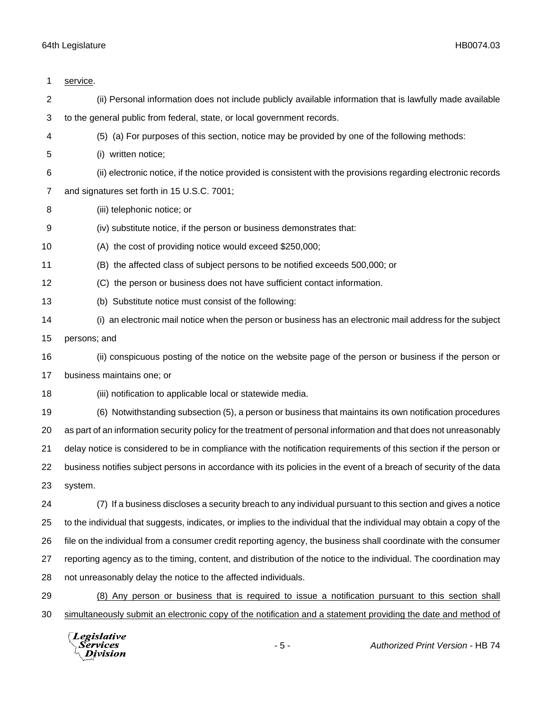| 1              | service.                                                                                                              |
|----------------|-----------------------------------------------------------------------------------------------------------------------|
| $\overline{2}$ | (ii) Personal information does not include publicly available information that is lawfully made available             |
| 3              | to the general public from federal, state, or local government records.                                               |
| 4              | (5) (a) For purposes of this section, notice may be provided by one of the following methods:                         |
| 5              | (i) written notice;                                                                                                   |
| 6              | (ii) electronic notice, if the notice provided is consistent with the provisions regarding electronic records         |
| 7              | and signatures set forth in 15 U.S.C. 7001;                                                                           |
| 8              | (iii) telephonic notice; or                                                                                           |
| 9              | (iv) substitute notice, if the person or business demonstrates that:                                                  |
| 10             | (A) the cost of providing notice would exceed \$250,000;                                                              |
| 11             | (B) the affected class of subject persons to be notified exceeds 500,000; or                                          |
| 12             | (C) the person or business does not have sufficient contact information.                                              |
| 13             | (b) Substitute notice must consist of the following:                                                                  |
| 14             | (i) an electronic mail notice when the person or business has an electronic mail address for the subject              |
| 15             | persons; and                                                                                                          |
| 16             | (ii) conspicuous posting of the notice on the website page of the person or business if the person or                 |
| 17             | business maintains one; or                                                                                            |
| 18             | (iii) notification to applicable local or statewide media.                                                            |
| 19             | (6) Notwithstanding subsection (5), a person or business that maintains its own notification procedures               |
| 20             | as part of an information security policy for the treatment of personal information and that does not unreasonably    |
| 21             | delay notice is considered to be in compliance with the notification requirements of this section if the person or    |
| 22             | business notifies subject persons in accordance with its policies in the event of a breach of security of the data    |
| 23             | system.                                                                                                               |
| 24             | (7) If a business discloses a security breach to any individual pursuant to this section and gives a notice           |
| 25             | to the individual that suggests, indicates, or implies to the individual that the individual may obtain a copy of the |
| 26             | file on the individual from a consumer credit reporting agency, the business shall coordinate with the consumer       |
| 27             | reporting agency as to the timing, content, and distribution of the notice to the individual. The coordination may    |
| 28             | not unreasonably delay the notice to the affected individuals.                                                        |
| 29             | (8) Any person or business that is required to issue a notification pursuant to this section shall                    |
| 30             | simultaneously submit an electronic copy of the notification and a statement providing the date and method of         |
|                |                                                                                                                       |

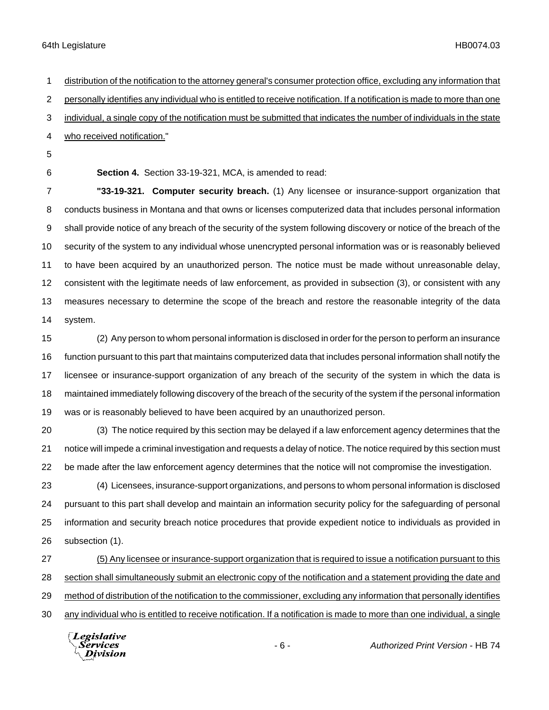distribution of the notification to the attorney general's consumer protection office, excluding any information that personally identifies any individual who is entitled to receive notification. If a notification is made to more than one individual, a single copy of the notification must be submitted that indicates the number of individuals in the state who received notification." **Section 4.** Section 33-19-321, MCA, is amended to read: **"33-19-321. Computer security breach.** (1) Any licensee or insurance-support organization that

 conducts business in Montana and that owns or licenses computerized data that includes personal information shall provide notice of any breach of the security of the system following discovery or notice of the breach of the security of the system to any individual whose unencrypted personal information was or is reasonably believed to have been acquired by an unauthorized person. The notice must be made without unreasonable delay, consistent with the legitimate needs of law enforcement, as provided in subsection (3), or consistent with any measures necessary to determine the scope of the breach and restore the reasonable integrity of the data system.

 (2) Any person to whom personal information is disclosed in order for the person to perform an insurance function pursuant to this part that maintains computerized data that includes personal information shall notify the licensee or insurance-support organization of any breach of the security of the system in which the data is maintained immediately following discovery of the breach of the security of the system if the personal information was or is reasonably believed to have been acquired by an unauthorized person.

 (3) The notice required by this section may be delayed if a law enforcement agency determines that the notice will impede a criminal investigation and requests a delay of notice. The notice required by this section must be made after the law enforcement agency determines that the notice will not compromise the investigation.

 (4) Licensees, insurance-support organizations, and persons to whom personal information is disclosed pursuant to this part shall develop and maintain an information security policy for the safeguarding of personal information and security breach notice procedures that provide expedient notice to individuals as provided in subsection (1).

 (5) Any licensee or insurance-support organization that is required to issue a notification pursuant to this section shall simultaneously submit an electronic copy of the notification and a statement providing the date and method of distribution of the notification to the commissioner, excluding any information that personally identifies any individual who is entitled to receive notification. If a notification is made to more than one individual, a single